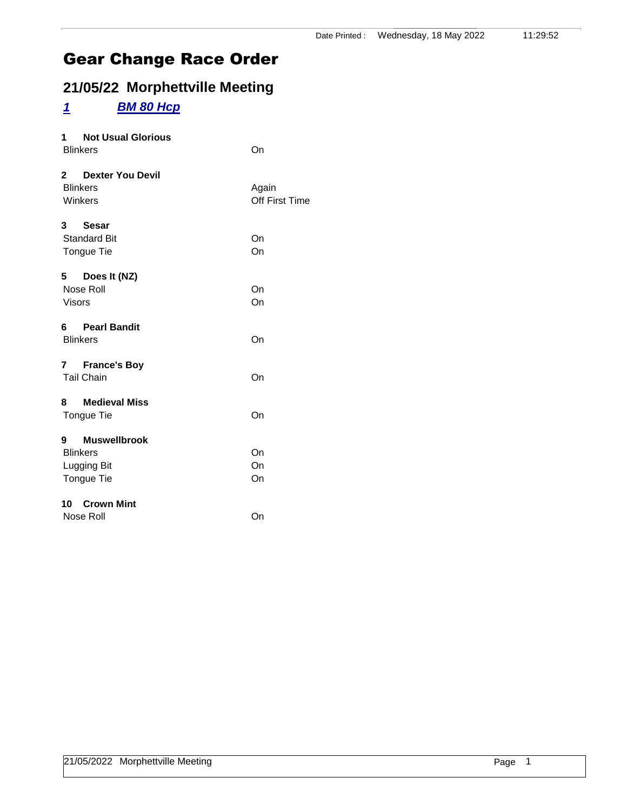### **21/05/22 Morphettville Meeting**

### *1 BM 80 Hcp*

| 1 Not Usual Glorious<br><b>Blinkers</b>                        | On                      |
|----------------------------------------------------------------|-------------------------|
| 2 Dexter You Devil<br><b>Blinkers</b><br>Winkers               | Again<br>Off First Time |
| 3 Sesar<br><b>Standard Bit</b><br>Tongue Tie                   | On<br>On                |
| 5 Does It (NZ)<br>Nose Roll<br><b>Visors</b>                   | On<br>On                |
| 6 Pearl Bandit<br><b>Blinkers</b>                              | On                      |
| 7 France's Boy<br><b>Tail Chain</b>                            | On                      |
| 8 Medieval Miss<br>Tongue Tie                                  | On                      |
| 9 Muswellbrook<br><b>Blinkers</b><br>Lugging Bit<br>Tongue Tie | On<br>On<br>On          |
| 10 Crown Mint<br>Nose Roll                                     | On                      |
|                                                                |                         |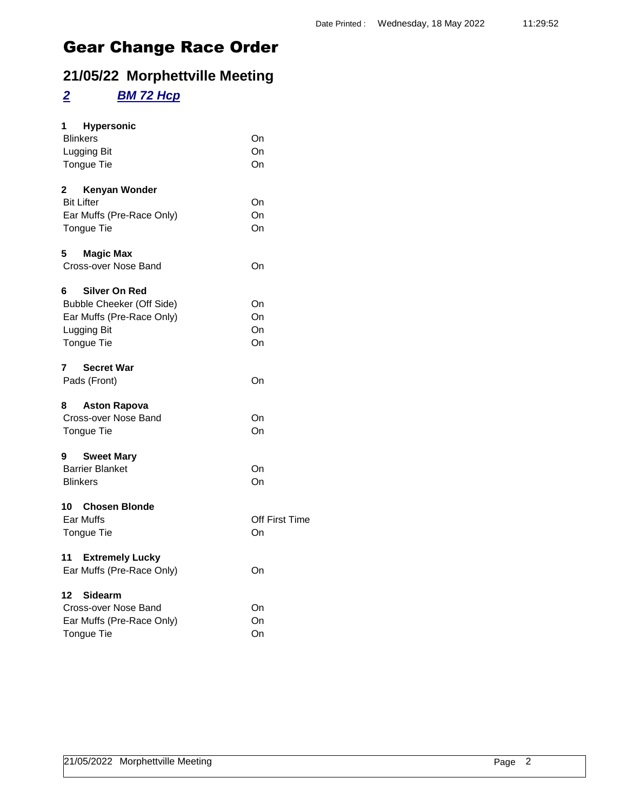### **21/05/22 Morphettville Meeting**

## *2 BM 72 Hcp*

| 1<br><b>Hypersonic</b><br><b>Blinkers</b><br>Lugging Bit<br><b>Tongue Tie</b>                                           | On<br>On<br>On       |
|-------------------------------------------------------------------------------------------------------------------------|----------------------|
| $\mathbf{2}$<br>Kenyan Wonder<br><b>Bit Lifter</b><br>Ear Muffs (Pre-Race Only)<br>Tongue Tie                           | On<br>On<br>On       |
| 5.<br><b>Magic Max</b><br>Cross-over Nose Band                                                                          | On                   |
| 6<br><b>Silver On Red</b><br>Bubble Cheeker (Off Side)<br>Ear Muffs (Pre-Race Only)<br>Lugging Bit<br><b>Tongue Tie</b> | On<br>On<br>On<br>On |
| 7<br><b>Secret War</b><br>Pads (Front)                                                                                  | On                   |
| 8<br><b>Aston Rapova</b><br>Cross-over Nose Band<br><b>Tongue Tie</b>                                                   | On<br>On             |
| 9<br><b>Sweet Mary</b><br><b>Barrier Blanket</b><br><b>Blinkers</b>                                                     | On<br>On             |
| 10 Chosen Blonde<br>Ear Muffs<br><b>Tongue Tie</b>                                                                      | Off First Time<br>On |
| 11<br><b>Extremely Lucky</b><br>Ear Muffs (Pre-Race Only)                                                               | On                   |
| 12<br><b>Sidearm</b><br>Cross-over Nose Band<br>Ear Muffs (Pre-Race Only)<br><b>Tongue Tie</b>                          | On<br>On<br>On       |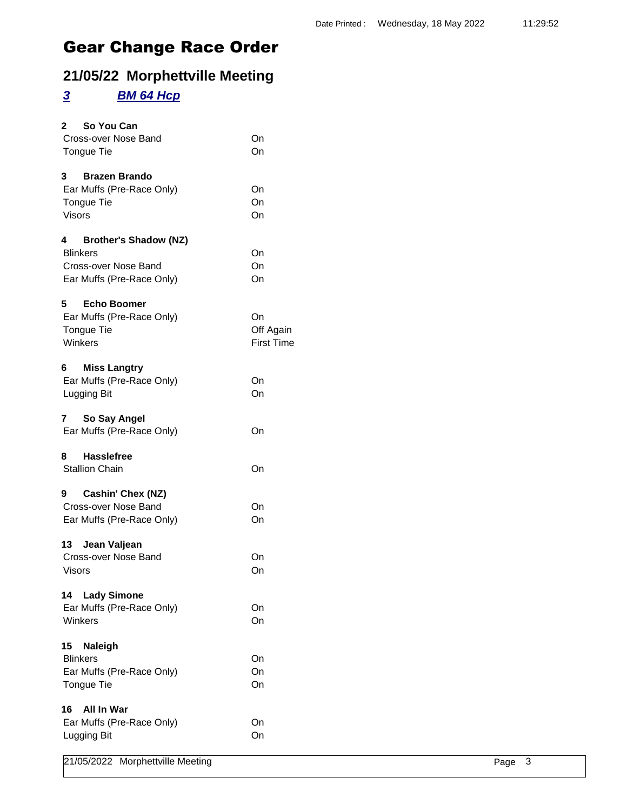### **21/05/22 Morphettville Meeting**

### *3 BM 64 Hcp*

| So You Can<br>$\mathbf{2}$              |                   |        |
|-----------------------------------------|-------------------|--------|
| Cross-over Nose Band                    | On                |        |
| Tongue Tie                              | On                |        |
|                                         |                   |        |
| <b>Brazen Brando</b><br>3               |                   |        |
| Ear Muffs (Pre-Race Only)               | On                |        |
| Tongue Tie                              | On                |        |
| <b>Visors</b>                           | On                |        |
| <b>Brother's Shadow (NZ)</b><br>4       |                   |        |
| <b>Blinkers</b>                         | On                |        |
| Cross-over Nose Band                    | On                |        |
| Ear Muffs (Pre-Race Only)               | On                |        |
|                                         |                   |        |
| <b>Echo Boomer</b><br>5                 |                   |        |
| Ear Muffs (Pre-Race Only)               | On                |        |
| Tongue Tie                              | Off Again         |        |
| Winkers                                 | <b>First Time</b> |        |
| <b>Miss Langtry</b><br>6                |                   |        |
| Ear Muffs (Pre-Race Only)               | On                |        |
| Lugging Bit                             | On                |        |
|                                         |                   |        |
| So Say Angel<br>$\overline{\mathbf{r}}$ |                   |        |
| Ear Muffs (Pre-Race Only)               | On                |        |
|                                         |                   |        |
| <b>Hasslefree</b><br>8                  |                   |        |
| <b>Stallion Chain</b>                   | On                |        |
| Cashin' Chex (NZ)<br>9                  |                   |        |
| Cross-over Nose Band                    | On                |        |
| Ear Muffs (Pre-Race Only)               | On                |        |
|                                         |                   |        |
| Jean Valjean<br>13                      |                   |        |
| Cross-over Nose Band                    | On                |        |
| <b>Visors</b>                           | On                |        |
| <b>Lady Simone</b>                      |                   |        |
| 14                                      |                   |        |
| Ear Muffs (Pre-Race Only)<br>Winkers    | On                |        |
|                                         | On                |        |
| Naleigh<br>15                           |                   |        |
| <b>Blinkers</b>                         | On                |        |
| Ear Muffs (Pre-Race Only)               | On                |        |
| Tongue Tie                              | On                |        |
|                                         |                   |        |
| All In War<br>16                        |                   |        |
| Ear Muffs (Pre-Race Only)               | On                |        |
| Lugging Bit                             | On                |        |
| 21/05/2022 Morphettville Meeting        |                   | Page 3 |
|                                         |                   |        |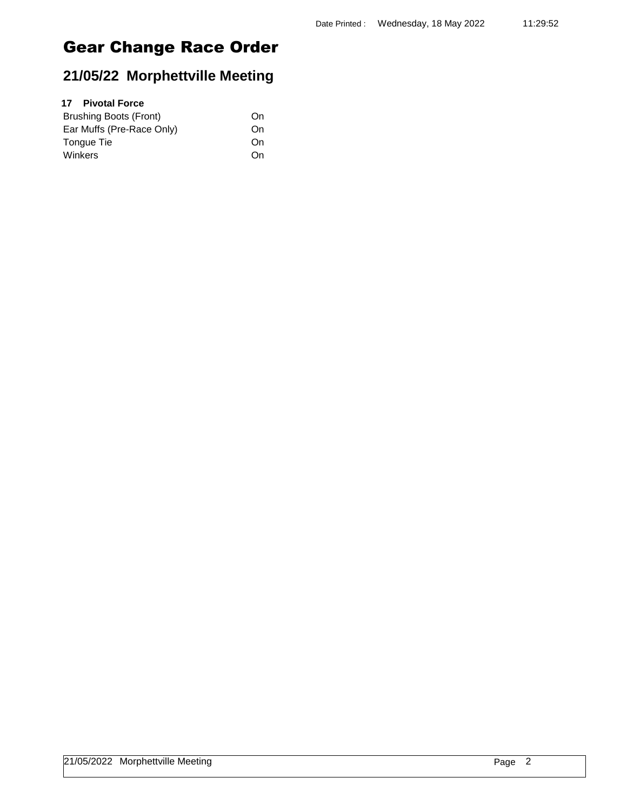### **21/05/22 Morphettville Meeting**

### **17 Pivotal Force**

| Brushing Boots (Front)    | On |
|---------------------------|----|
| Ear Muffs (Pre-Race Only) | On |
| Tonque Tie                | On |
| Winkers                   | On |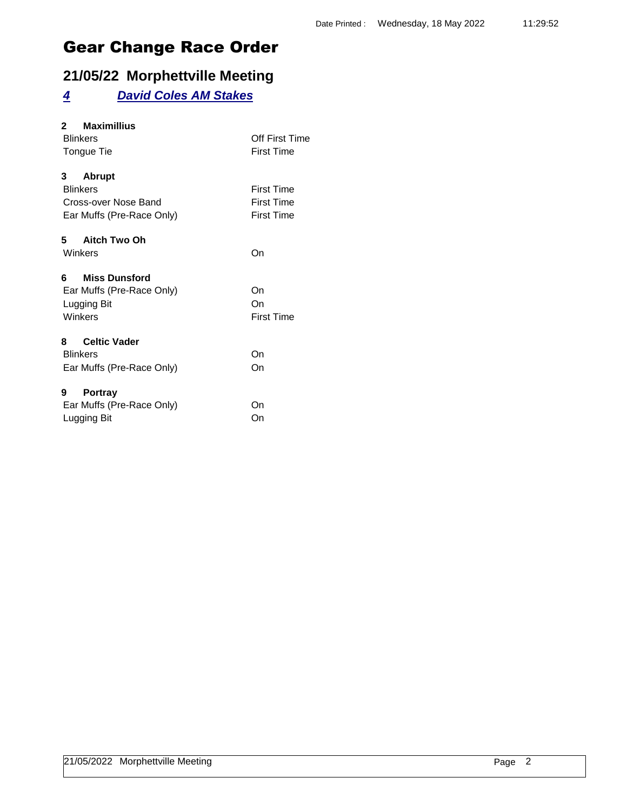### **21/05/22 Morphettville Meeting**

### *4 David Coles AM Stakes*

| <b>Maximillius</b><br>2    |                   |
|----------------------------|-------------------|
| <b>Blinkers</b>            | Off First Time    |
| Tongue Tie                 | <b>First Time</b> |
| 3<br><b>Abrupt</b>         |                   |
| <b>Blinkers</b>            | <b>First Time</b> |
| Cross-over Nose Band       | <b>First Time</b> |
| Ear Muffs (Pre-Race Only)  | <b>First Time</b> |
| 5 Aitch Two Oh             |                   |
| Winkers                    | On                |
| <b>Miss Dunsford</b><br>6. |                   |
| Ear Muffs (Pre-Race Only)  | On                |
| Lugging Bit                | On                |
| Winkers                    | <b>First Time</b> |
| <b>Celtic Vader</b><br>8   |                   |
| <b>Blinkers</b>            | On                |
| Ear Muffs (Pre-Race Only)  | On                |
| <b>Portray</b><br>9        |                   |
| Ear Muffs (Pre-Race Only)  | On                |
| Lugging Bit                | On                |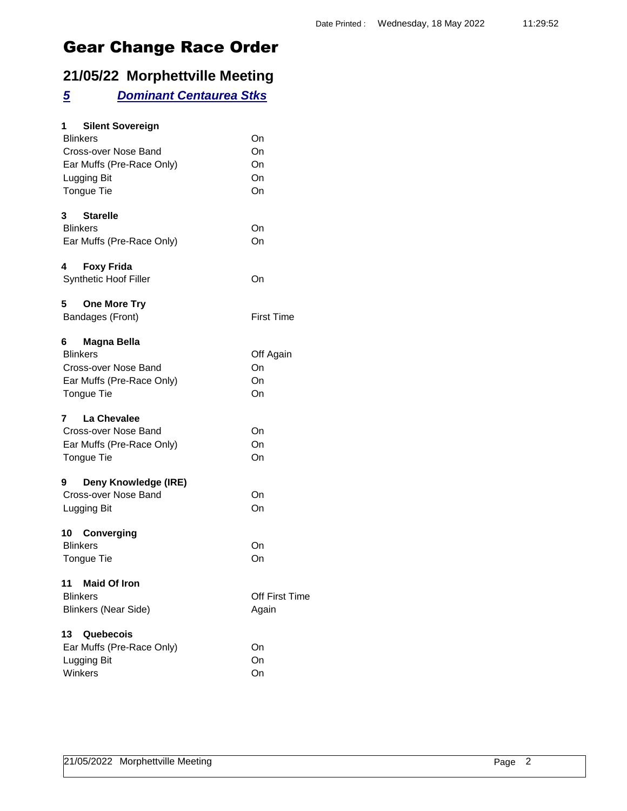### **21/05/22 Morphettville Meeting**

#### *5 Dominant Centaurea Stks*

| <b>Silent Sovereign</b><br>1.<br><b>Blinkers</b><br>Cross-over Nose Band<br>Ear Muffs (Pre-Race Only)<br>Lugging Bit<br><b>Tongue Tie</b> | On<br>On<br>On<br>On<br>On  |
|-------------------------------------------------------------------------------------------------------------------------------------------|-----------------------------|
| 3<br><b>Starelle</b><br><b>Blinkers</b><br>Ear Muffs (Pre-Race Only)                                                                      | On<br>On                    |
| 4<br><b>Foxy Frida</b><br>Synthetic Hoof Filler                                                                                           | On                          |
| 5<br><b>One More Try</b><br>Bandages (Front)                                                                                              | <b>First Time</b>           |
| Magna Bella<br>6<br><b>Blinkers</b><br>Cross-over Nose Band<br>Ear Muffs (Pre-Race Only)<br><b>Tongue Tie</b>                             | Off Again<br>On<br>On<br>On |
| La Chevalee<br>7<br>Cross-over Nose Band<br>Ear Muffs (Pre-Race Only)<br>Tongue Tie                                                       | On<br>On<br>On              |
| Deny Knowledge (IRE)<br>9<br>Cross-over Nose Band<br>Lugging Bit                                                                          | On<br>On                    |
| 10<br>Converging<br><b>Blinkers</b><br><b>Tongue Tie</b>                                                                                  | On<br>On                    |
| <b>Maid Of Iron</b><br>11<br><b>Blinkers</b><br><b>Blinkers (Near Side)</b>                                                               | Off First Time<br>Again     |
| 13<br>Quebecois<br>Ear Muffs (Pre-Race Only)<br>Lugging Bit<br>Winkers                                                                    | On<br>On<br>On              |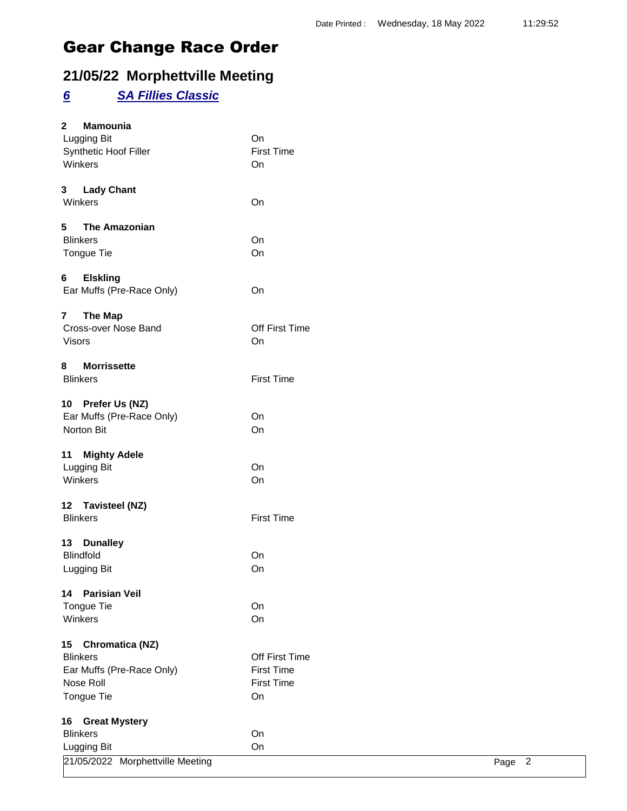### **21/05/22 Morphettville Meeting**

### *6 SA Fillies Classic*

| $\mathbf{2}$   | Mamounia<br>Lugging Bit                 | On                |        |  |
|----------------|-----------------------------------------|-------------------|--------|--|
|                | Synthetic Hoof Filler                   | <b>First Time</b> |        |  |
|                | Winkers                                 | On                |        |  |
|                |                                         |                   |        |  |
| 3 <sub>1</sub> | <b>Lady Chant</b>                       |                   |        |  |
|                | Winkers                                 | On                |        |  |
|                |                                         |                   |        |  |
| 5              | <b>The Amazonian</b><br><b>Blinkers</b> | On                |        |  |
|                | Tongue Tie                              | On                |        |  |
|                |                                         |                   |        |  |
| 6              | <b>Elskling</b>                         |                   |        |  |
|                | Ear Muffs (Pre-Race Only)               | On                |        |  |
|                |                                         |                   |        |  |
| $\mathbf{7}$   | <b>The Map</b>                          | Off First Time    |        |  |
|                | Cross-over Nose Band                    |                   |        |  |
|                | <b>Visors</b>                           | On                |        |  |
| 8              | <b>Morrissette</b>                      |                   |        |  |
|                | <b>Blinkers</b>                         | <b>First Time</b> |        |  |
|                |                                         |                   |        |  |
|                | 10 Prefer Us (NZ)                       |                   |        |  |
|                | Ear Muffs (Pre-Race Only)               | On                |        |  |
|                | Norton Bit                              | On                |        |  |
| 11             | <b>Mighty Adele</b>                     |                   |        |  |
|                | Lugging Bit                             | On                |        |  |
|                | Winkers                                 | On                |        |  |
|                |                                         |                   |        |  |
|                | 12 Tavisteel (NZ)                       |                   |        |  |
|                | <b>Blinkers</b>                         | <b>First Time</b> |        |  |
|                |                                         |                   |        |  |
|                | 13 Dunalley                             |                   |        |  |
|                | <b>Blindfold</b>                        | On                |        |  |
|                | Lugging Bit                             | On                |        |  |
| 14             | <b>Parisian Veil</b>                    |                   |        |  |
|                | Tongue Tie                              | On                |        |  |
|                | Winkers                                 | On                |        |  |
|                |                                         |                   |        |  |
| 15             | <b>Chromatica (NZ)</b>                  |                   |        |  |
|                | <b>Blinkers</b>                         | Off First Time    |        |  |
|                | Ear Muffs (Pre-Race Only)               | <b>First Time</b> |        |  |
|                | Nose Roll                               | <b>First Time</b> |        |  |
|                | Tongue Tie                              | On                |        |  |
|                |                                         |                   |        |  |
| 16             | <b>Great Mystery</b><br><b>Blinkers</b> | On                |        |  |
|                | Lugging Bit                             | On                |        |  |
|                | 21/05/2022 Morphettville Meeting        |                   | Page 2 |  |
|                |                                         |                   |        |  |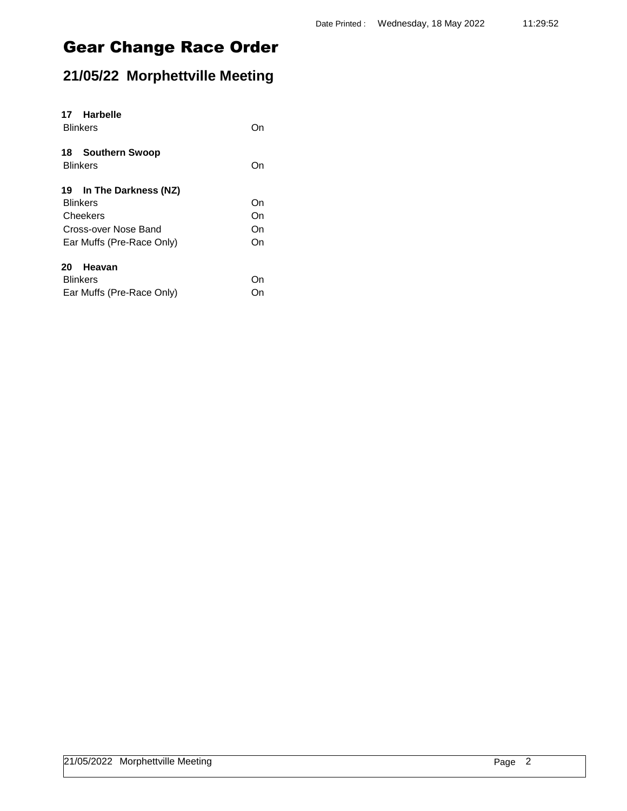## **21/05/22 Morphettville Meeting**

| 17 Harbelle<br><b>Blinkers</b> | ( )n |
|--------------------------------|------|
| 18 Southern Swoop              |      |
| <b>Blinkers</b>                | On   |
| 19 In The Darkness (NZ)        |      |
| <b>Blinkers</b>                | On   |
| Cheekers                       | On   |
| Cross-over Nose Band           | On   |
| Ear Muffs (Pre-Race Only)      | On   |
| Heavan<br>20                   |      |
| <b>Blinkers</b>                | ()n  |
| Ear Muffs (Pre-Race Only)      | )n   |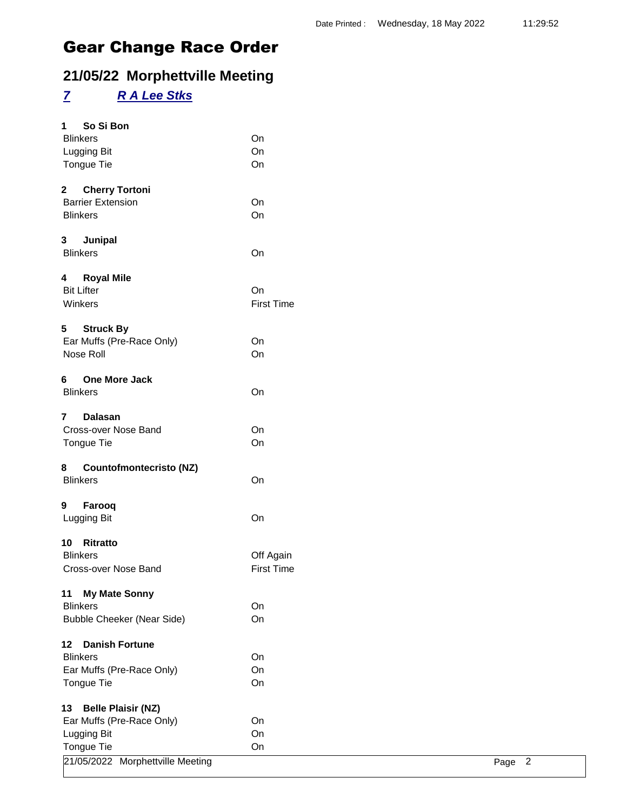### **21/05/22 Morphettville Meeting**

### *7 R A Lee Stks*

| So Si Bon<br>1                        |                   |        |
|---------------------------------------|-------------------|--------|
| <b>Blinkers</b>                       | On                |        |
| Lugging Bit                           | On                |        |
| Tongue Tie                            | On                |        |
| $\mathbf{2}$<br><b>Cherry Tortoni</b> |                   |        |
| <b>Barrier Extension</b>              | On                |        |
| <b>Blinkers</b>                       | On                |        |
| Junipal<br>3                          |                   |        |
| <b>Blinkers</b>                       | On                |        |
| <b>Royal Mile</b><br>4                |                   |        |
| <b>Bit Lifter</b>                     | On                |        |
| Winkers                               | <b>First Time</b> |        |
| 5<br><b>Struck By</b>                 |                   |        |
| Ear Muffs (Pre-Race Only)             | On                |        |
| Nose Roll                             | On                |        |
| One More Jack<br>6                    |                   |        |
| <b>Blinkers</b>                       | On                |        |
| $\overline{7}$<br><b>Dalasan</b>      |                   |        |
| Cross-over Nose Band                  | On                |        |
| Tongue Tie                            | On                |        |
| <b>Countofmontecristo (NZ)</b><br>8   |                   |        |
| <b>Blinkers</b>                       | On                |        |
| 9<br>Farooq                           |                   |        |
| Lugging Bit                           | On                |        |
| 10 Ritratto                           |                   |        |
| <b>Blinkers</b>                       | Off Again         |        |
| Cross-over Nose Band                  | <b>First Time</b> |        |
| <b>My Mate Sonny</b><br>11            |                   |        |
| <b>Blinkers</b>                       | On                |        |
| <b>Bubble Cheeker (Near Side)</b>     | On                |        |
| <b>Danish Fortune</b><br>12           |                   |        |
| <b>Blinkers</b>                       | On                |        |
| Ear Muffs (Pre-Race Only)             | On                |        |
| Tongue Tie                            | On                |        |
| <b>Belle Plaisir (NZ)</b><br>13       |                   |        |
| Ear Muffs (Pre-Race Only)             | On                |        |
| Lugging Bit                           | On                |        |
| Tongue Tie                            | On                |        |
| 21/05/2022 Morphettville Meeting      |                   | Page 2 |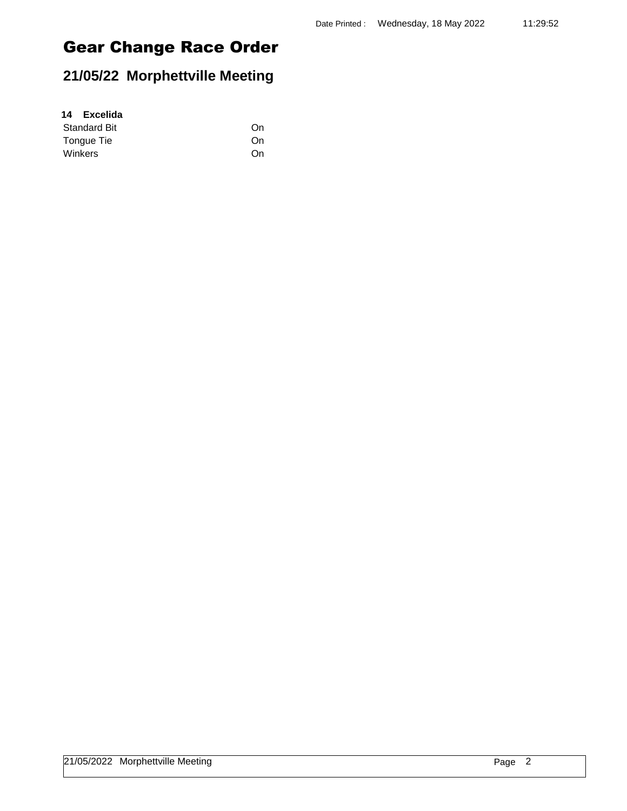## **21/05/22 Morphettville Meeting**

| 14 Excelida         |    |
|---------------------|----|
| <b>Standard Bit</b> | On |
| Tongue Tie          | On |
| Winkers             | On |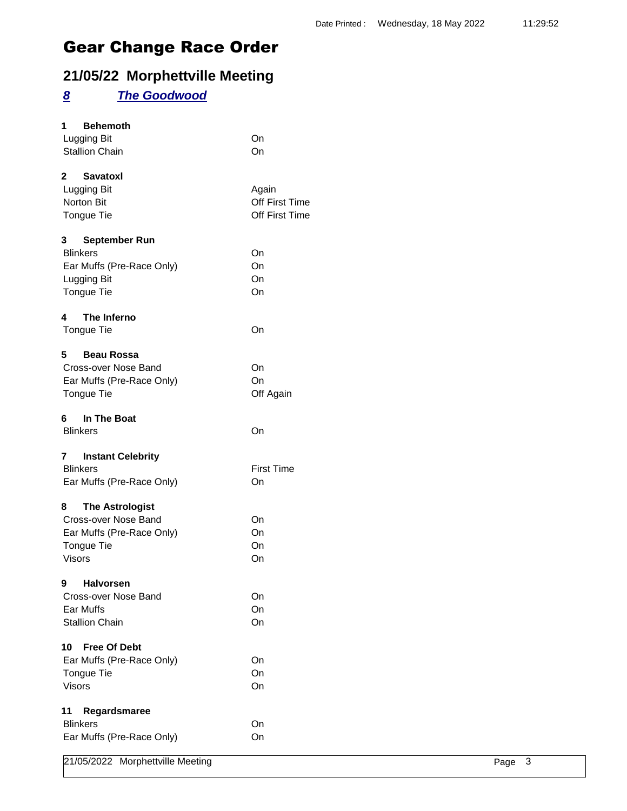### **21/05/22 Morphettville Meeting**

### *8 The Goodwood*

| Lugging Bit<br>On<br><b>Stallion Chain</b><br>On<br><b>Savatoxl</b><br>Lugging Bit<br>Again<br>Off First Time<br>Norton Bit<br>Off First Time<br>Tongue Tie<br>September Run<br><b>Blinkers</b><br>On<br>Ear Muffs (Pre-Race Only)<br>On<br>On<br>Lugging Bit<br>Tongue Tie<br>On<br>The Inferno<br>On<br><b>Beau Rossa</b><br>Cross-over Nose Band<br>On<br>Ear Muffs (Pre-Race Only)<br>On<br>Tongue Tie<br>Off Again<br>In The Boat<br>On<br><b>Blinkers</b><br><b>Instant Celebrity</b><br><b>First Time</b><br><b>Blinkers</b><br>Ear Muffs (Pre-Race Only)<br>On<br><b>The Astrologist</b><br>Cross-over Nose Band<br>On<br>Ear Muffs (Pre-Race Only)<br>On<br>Tongue Tie<br>On<br><b>Visors</b><br>On<br>Halvorsen<br>Cross-over Nose Band<br>On<br>Ear Muffs<br>On<br><b>Stallion Chain</b><br>On<br><b>Free Of Debt</b><br>Ear Muffs (Pre-Race Only)<br>On<br>Tongue Tie<br>On<br><b>Visors</b><br>On<br>Regardsmaree<br><b>Blinkers</b><br>On<br>Ear Muffs (Pre-Race Only)<br>On<br>21/05/2022 Morphettville Meeting<br>3<br>Page | <b>Behemoth</b><br>1 |  |
|---------------------------------------------------------------------------------------------------------------------------------------------------------------------------------------------------------------------------------------------------------------------------------------------------------------------------------------------------------------------------------------------------------------------------------------------------------------------------------------------------------------------------------------------------------------------------------------------------------------------------------------------------------------------------------------------------------------------------------------------------------------------------------------------------------------------------------------------------------------------------------------------------------------------------------------------------------------------------------------------------------------------------------------------|----------------------|--|
|                                                                                                                                                                                                                                                                                                                                                                                                                                                                                                                                                                                                                                                                                                                                                                                                                                                                                                                                                                                                                                             |                      |  |
|                                                                                                                                                                                                                                                                                                                                                                                                                                                                                                                                                                                                                                                                                                                                                                                                                                                                                                                                                                                                                                             |                      |  |
|                                                                                                                                                                                                                                                                                                                                                                                                                                                                                                                                                                                                                                                                                                                                                                                                                                                                                                                                                                                                                                             | $\mathbf 2$          |  |
|                                                                                                                                                                                                                                                                                                                                                                                                                                                                                                                                                                                                                                                                                                                                                                                                                                                                                                                                                                                                                                             |                      |  |
|                                                                                                                                                                                                                                                                                                                                                                                                                                                                                                                                                                                                                                                                                                                                                                                                                                                                                                                                                                                                                                             |                      |  |
|                                                                                                                                                                                                                                                                                                                                                                                                                                                                                                                                                                                                                                                                                                                                                                                                                                                                                                                                                                                                                                             |                      |  |
|                                                                                                                                                                                                                                                                                                                                                                                                                                                                                                                                                                                                                                                                                                                                                                                                                                                                                                                                                                                                                                             | 3                    |  |
|                                                                                                                                                                                                                                                                                                                                                                                                                                                                                                                                                                                                                                                                                                                                                                                                                                                                                                                                                                                                                                             |                      |  |
|                                                                                                                                                                                                                                                                                                                                                                                                                                                                                                                                                                                                                                                                                                                                                                                                                                                                                                                                                                                                                                             |                      |  |
|                                                                                                                                                                                                                                                                                                                                                                                                                                                                                                                                                                                                                                                                                                                                                                                                                                                                                                                                                                                                                                             |                      |  |
|                                                                                                                                                                                                                                                                                                                                                                                                                                                                                                                                                                                                                                                                                                                                                                                                                                                                                                                                                                                                                                             |                      |  |
|                                                                                                                                                                                                                                                                                                                                                                                                                                                                                                                                                                                                                                                                                                                                                                                                                                                                                                                                                                                                                                             | 4                    |  |
|                                                                                                                                                                                                                                                                                                                                                                                                                                                                                                                                                                                                                                                                                                                                                                                                                                                                                                                                                                                                                                             | Tongue Tie           |  |
|                                                                                                                                                                                                                                                                                                                                                                                                                                                                                                                                                                                                                                                                                                                                                                                                                                                                                                                                                                                                                                             | 5                    |  |
|                                                                                                                                                                                                                                                                                                                                                                                                                                                                                                                                                                                                                                                                                                                                                                                                                                                                                                                                                                                                                                             |                      |  |
|                                                                                                                                                                                                                                                                                                                                                                                                                                                                                                                                                                                                                                                                                                                                                                                                                                                                                                                                                                                                                                             |                      |  |
|                                                                                                                                                                                                                                                                                                                                                                                                                                                                                                                                                                                                                                                                                                                                                                                                                                                                                                                                                                                                                                             |                      |  |
|                                                                                                                                                                                                                                                                                                                                                                                                                                                                                                                                                                                                                                                                                                                                                                                                                                                                                                                                                                                                                                             | 6                    |  |
|                                                                                                                                                                                                                                                                                                                                                                                                                                                                                                                                                                                                                                                                                                                                                                                                                                                                                                                                                                                                                                             |                      |  |
|                                                                                                                                                                                                                                                                                                                                                                                                                                                                                                                                                                                                                                                                                                                                                                                                                                                                                                                                                                                                                                             | 7                    |  |
|                                                                                                                                                                                                                                                                                                                                                                                                                                                                                                                                                                                                                                                                                                                                                                                                                                                                                                                                                                                                                                             |                      |  |
|                                                                                                                                                                                                                                                                                                                                                                                                                                                                                                                                                                                                                                                                                                                                                                                                                                                                                                                                                                                                                                             |                      |  |
|                                                                                                                                                                                                                                                                                                                                                                                                                                                                                                                                                                                                                                                                                                                                                                                                                                                                                                                                                                                                                                             | 8                    |  |
|                                                                                                                                                                                                                                                                                                                                                                                                                                                                                                                                                                                                                                                                                                                                                                                                                                                                                                                                                                                                                                             |                      |  |
|                                                                                                                                                                                                                                                                                                                                                                                                                                                                                                                                                                                                                                                                                                                                                                                                                                                                                                                                                                                                                                             |                      |  |
|                                                                                                                                                                                                                                                                                                                                                                                                                                                                                                                                                                                                                                                                                                                                                                                                                                                                                                                                                                                                                                             |                      |  |
|                                                                                                                                                                                                                                                                                                                                                                                                                                                                                                                                                                                                                                                                                                                                                                                                                                                                                                                                                                                                                                             |                      |  |
|                                                                                                                                                                                                                                                                                                                                                                                                                                                                                                                                                                                                                                                                                                                                                                                                                                                                                                                                                                                                                                             | 9                    |  |
|                                                                                                                                                                                                                                                                                                                                                                                                                                                                                                                                                                                                                                                                                                                                                                                                                                                                                                                                                                                                                                             |                      |  |
|                                                                                                                                                                                                                                                                                                                                                                                                                                                                                                                                                                                                                                                                                                                                                                                                                                                                                                                                                                                                                                             |                      |  |
|                                                                                                                                                                                                                                                                                                                                                                                                                                                                                                                                                                                                                                                                                                                                                                                                                                                                                                                                                                                                                                             |                      |  |
|                                                                                                                                                                                                                                                                                                                                                                                                                                                                                                                                                                                                                                                                                                                                                                                                                                                                                                                                                                                                                                             | 10                   |  |
|                                                                                                                                                                                                                                                                                                                                                                                                                                                                                                                                                                                                                                                                                                                                                                                                                                                                                                                                                                                                                                             |                      |  |
|                                                                                                                                                                                                                                                                                                                                                                                                                                                                                                                                                                                                                                                                                                                                                                                                                                                                                                                                                                                                                                             |                      |  |
|                                                                                                                                                                                                                                                                                                                                                                                                                                                                                                                                                                                                                                                                                                                                                                                                                                                                                                                                                                                                                                             |                      |  |
|                                                                                                                                                                                                                                                                                                                                                                                                                                                                                                                                                                                                                                                                                                                                                                                                                                                                                                                                                                                                                                             | 11                   |  |
|                                                                                                                                                                                                                                                                                                                                                                                                                                                                                                                                                                                                                                                                                                                                                                                                                                                                                                                                                                                                                                             |                      |  |
|                                                                                                                                                                                                                                                                                                                                                                                                                                                                                                                                                                                                                                                                                                                                                                                                                                                                                                                                                                                                                                             |                      |  |
|                                                                                                                                                                                                                                                                                                                                                                                                                                                                                                                                                                                                                                                                                                                                                                                                                                                                                                                                                                                                                                             |                      |  |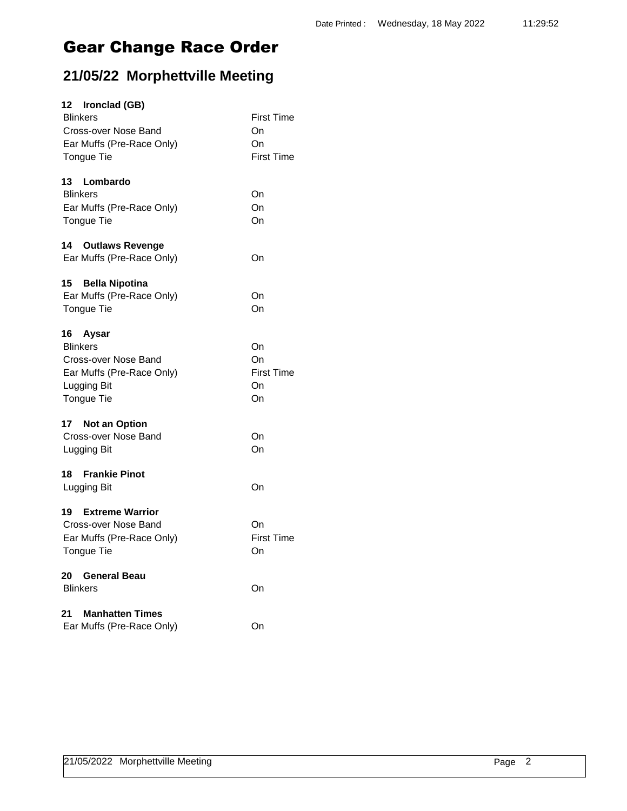## **21/05/22 Morphettville Meeting**

| 12 Ironclad (GB)                                                                                                 |                                                    |
|------------------------------------------------------------------------------------------------------------------|----------------------------------------------------|
| <b>Blinkers</b><br>Cross-over Nose Band<br>Ear Muffs (Pre-Race Only)<br>Tongue Tie                               | <b>First Time</b><br>On<br>On<br><b>First Time</b> |
| 13<br>Lombardo                                                                                                   |                                                    |
| <b>Blinkers</b><br>Ear Muffs (Pre-Race Only)<br>Tongue Tie                                                       | On<br>On<br>On                                     |
| 14<br><b>Outlaws Revenge</b><br>Ear Muffs (Pre-Race Only)                                                        | On                                                 |
| 15<br><b>Bella Nipotina</b>                                                                                      |                                                    |
| Ear Muffs (Pre-Race Only)<br><b>Tongue Tie</b>                                                                   | On<br>On                                           |
| 16<br>Aysar<br><b>Blinkers</b><br>Cross-over Nose Band<br>Ear Muffs (Pre-Race Only)<br>Lugging Bit<br>Tongue Tie | On<br>On<br><b>First Time</b><br>On<br>On          |
| 17 Not an Option<br>Cross-over Nose Band<br>Lugging Bit                                                          | On<br>On                                           |
| <b>Frankie Pinot</b><br>18<br>Lugging Bit                                                                        | On                                                 |
| 19<br><b>Extreme Warrior</b><br>Cross-over Nose Band<br>Ear Muffs (Pre-Race Only)<br><b>Tongue Tie</b>           | On<br><b>First Time</b><br>On                      |
| 20<br><b>General Beau</b><br><b>Blinkers</b>                                                                     | On                                                 |
| <b>Manhatten Times</b><br>21<br>Ear Muffs (Pre-Race Only)                                                        | On                                                 |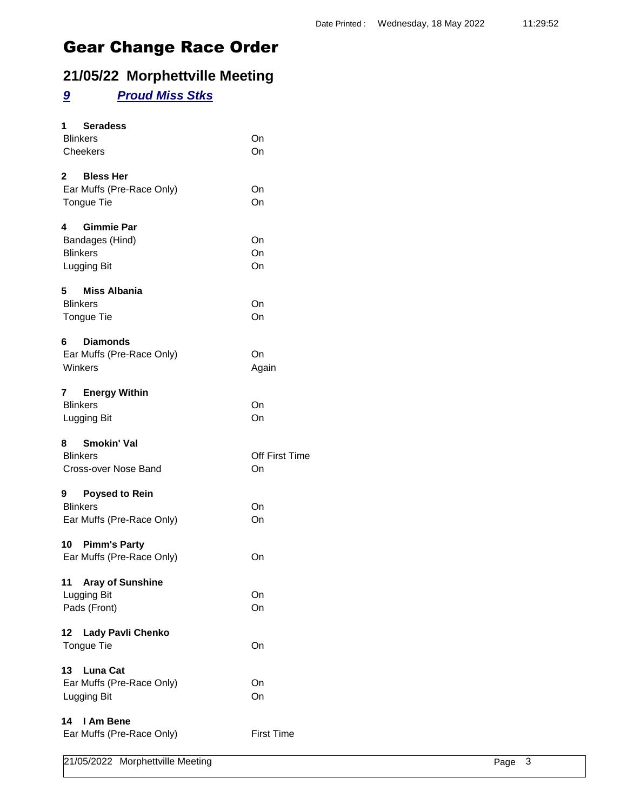### **21/05/22 Morphettville Meeting**

### *9 Proud Miss Stks*

| <b>Seradess</b><br>1<br><b>Blinkers</b><br>Cheekers                         | On<br>On             |
|-----------------------------------------------------------------------------|----------------------|
| 2 Bless Her<br>Ear Muffs (Pre-Race Only)<br>Tongue Tie                      | On<br>On             |
| <b>Gimmie Par</b><br>4<br>Bandages (Hind)<br><b>Blinkers</b><br>Lugging Bit | On<br>On<br>On       |
| 5 Miss Albania<br><b>Blinkers</b><br>Tongue Tie                             | On<br>On             |
| <b>Diamonds</b><br>6.<br>Ear Muffs (Pre-Race Only)<br>Winkers               | On<br>Again          |
| 7 Energy Within<br><b>Blinkers</b><br>Lugging Bit                           | On<br>On             |
| 8 Smokin' Val<br><b>Blinkers</b><br>Cross-over Nose Band                    | Off First Time<br>On |
| <b>Poysed to Rein</b><br>9<br><b>Blinkers</b><br>Ear Muffs (Pre-Race Only)  | On<br>On             |
| 10 Pimm's Party<br>Ear Muffs (Pre-Race Only)                                | On                   |
| 11<br><b>Aray of Sunshine</b><br>Lugging Bit<br>Pads (Front)                | On<br>On             |
| <b>Lady Pavli Chenko</b><br>12<br>Tongue Tie                                | On                   |
| 13<br><b>Luna Cat</b><br>Ear Muffs (Pre-Race Only)<br>Lugging Bit           | On<br>On             |
| I Am Bene<br>14<br>Ear Muffs (Pre-Race Only)                                | <b>First Time</b>    |

|  | 21/05/2022 Morphettville Meeting | Page | ు |
|--|----------------------------------|------|---|
|--|----------------------------------|------|---|